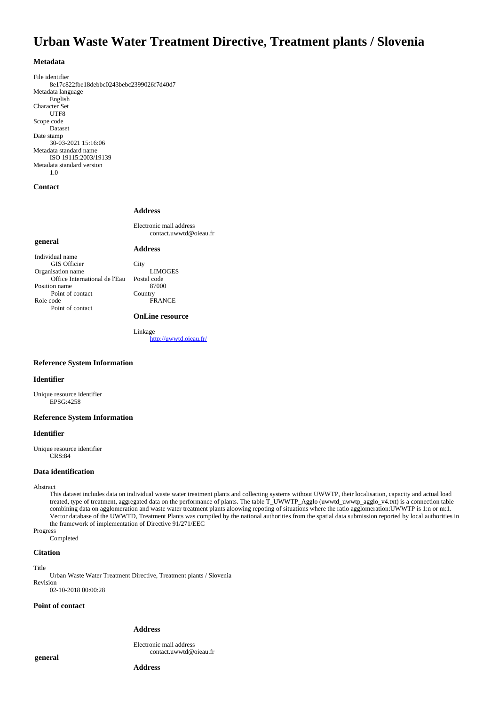# **Urban Waste Water Treatment Directive, Treatment plants / Slovenia**

### **Metadata**

File identifier 8e17c822fbe18debbc0243bebc2399026f7d40d7 Metadata language English Character Set UTF8 Scope code Dataset Date stamp 30-03-2021 15:16:06 Metadata standard name ISO 19115:2003/19139 Metadata standard version 1.0

### **Contact**

### **Address**

**Address**

Electronic mail address contact.uwwtd@oieau.fr

### **general**

Individual name GIS Officier Organisation name Office International de l'Eau Position name Point of contact Role code Point of contact

**City** LIMOGES Postal code 87000 Country FRANCE

### **OnLine resource**

Linkage <http://uwwtd.oieau.fr/>

# **Reference System Information**

#### **Identifier**

Unique resource identifier EPSG:4258

# **Reference System Information**

# **Identifier**

Unique resource identifier CRS:84

### **Data identification**

Abstract

This dataset includes data on individual waste water treatment plants and collecting systems without UWWTP, their localisation, capacity and actual load treated, type of treatment, aggregated data on the performance of plants. The table T\_UWWTP\_Agglo (uwwtd\_uwwtp\_agglo\_v4.txt) is a connection table combining data on agglomeration and waste water treatment plants aloowing repoting of situations where the ratio agglomeration:UWWTP is 1:n or m:1. Vector database of the UWWTD, Treatment Plants was compiled by the national authorities from the spatial data submission reported by local authorities in the framework of implementation of Directive 91/271/EEC

Progress Completed

#### **Citation**

Title

Urban Waste Water Treatment Directive, Treatment plants / Slovenia Revision 02-10-2018 00:00:28

### **Point of contact**

# **Address**

Electronic mail address contact.uwwtd@oieau.fr

**general**

**Address**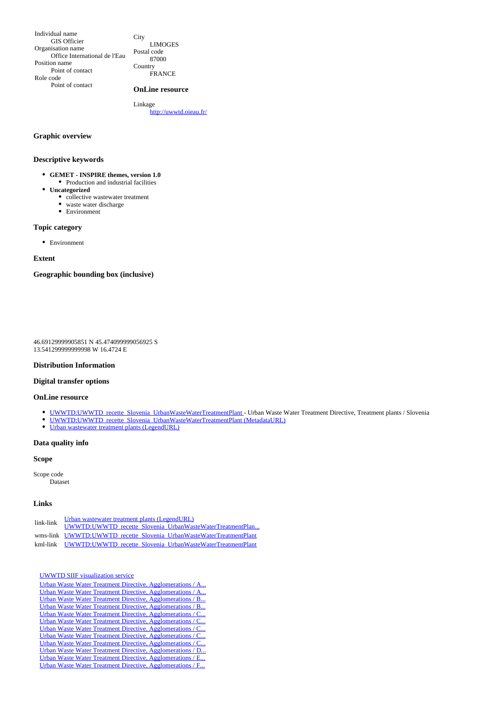Individual name GIS Officier Organisation name Office International de l'Eau Position name Point of contact Role code Point of contact

**City** LIMOGES Postal code 87000 Country **FRANCE** 

# **OnLine resource**

Linkage <http://uwwtd.oieau.fr/>

### **Graphic overview**

# **Descriptive keywords**

- **GEMET INSPIRE themes, version 1.0**  $\bullet~$  Production and industrial facilities
- **Uncategorized**
	- collective wastewater treatment
		- waste water discharge
		- Environment

# **Topic category**

Environment

### **Extent**

### **Geographic bounding box (inclusive)**

46.69129999905851 N 45.474099999056925 S 13.541299999999998 W 16.4724 E

### **Distribution Information**

# **Digital transfer options**

**OnLine resource**

- [UWWTD:UWWTD\\_recette\\_Slovenia\\_UrbanWasteWaterTreatmentPlant](http://uwwtd.oieau.fr/services/ows?SERVICE=WMS&) Urban Waste Water Treatment Directive, Treatment plants / Slovenia
- [UWWTD:UWWTD\\_recette\\_Slovenia\\_UrbanWasteWaterTreatmentPlant \(MetadataURL\)](http://sdi.eea.europa.eu/catalogue/srv/eng/catalog.search#/metadata/9c1dd142-7cf9-4213-950e-1083b5b02fff)
- [Urban wastewater treatment plants \(LegendURL\)](http://uwwtd.oieau.fr/services/ows?service=WMS&request=GetLegendGraphic&format=image%2Fpng&width=20&height=20&layer=UWWTD%3AUWWTD_recette_Slovenia_UrbanWasteWaterTreatmentPlant)

# **Data quality info**

### **Scope**

Scope code Dataset

#### **Links**

| link-link | Urban wastewater treatment plants (LegendURL)                       |
|-----------|---------------------------------------------------------------------|
|           | UWWTD:UWWTD recette Slovenia UrbanWasteWaterTreatmentPlan           |
|           | wms-link UWWTD:UWWTD recette Slovenia UrbanWasteWaterTreatmentPlant |
|           | kml-link UWWTD:UWWTD recette Slovenia UrbanWasteWaterTreatmentPlant |

### [UWWTD SIIF visualization service](http://uwwtd.oieau.fr/catalogue/srv/ows/md.viewer#/full_view/b1c543def08ee8d3f8198bcae4a76003e1d3b270)

| <u> Urban Waste Water Treatment Directive, Agglomerations / A</u> |
|-------------------------------------------------------------------|
| Urban Waste Water Treatment Directive, Agglomerations / A         |
| Urban Waste Water Treatment Directive, Agglomerations / B         |
| Urban Waste Water Treatment Directive, Agglomerations / B         |
| <u> Urban Waste Water Treatment Directive, Agglomerations / C</u> |
| Urban Waste Water Treatment Directive, Agglomerations / C         |
| Urban Waste Water Treatment Directive, Agglomerations / C         |
| Urban Waste Water Treatment Directive, Agglomerations / C         |
| Urban Waste Water Treatment Directive, Agglomerations / C         |
| Urban Waste Water Treatment Directive, Agglomerations / D         |
| Urban Waste Water Treatment Directive, Agglomerations / E         |
| Urban Waste Water Treatment Directive, Agglomerations / F         |
|                                                                   |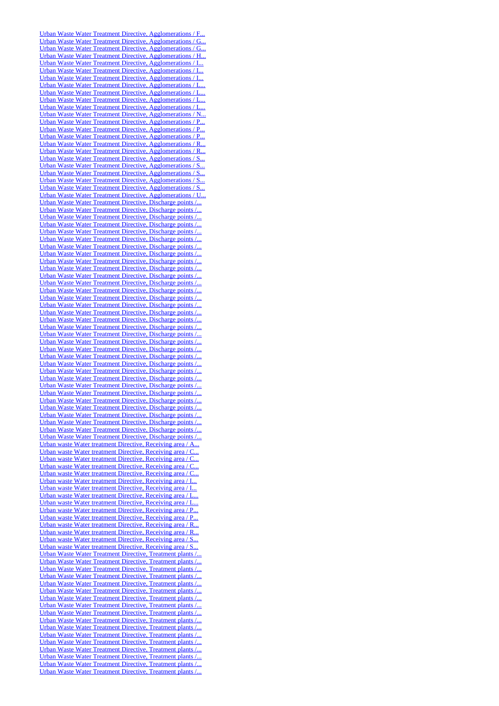[Urban Waste Water Treatment Directive, Agglomerations / F...](http://uwwtd.oieau.fr/catalogue/srv/ows/md.viewer#/full_view/010adfecf26adcdd08dd7cb8f2a72ca8a88ca5dc) [Urban Waste Water Treatment Directive, Agglomerations / G...](http://uwwtd.oieau.fr/catalogue/srv/ows/md.viewer#/full_view/c890dbf430e42afab5bafa3e42779d06b81f3b0d) [Urban Waste Water Treatment Directive, Agglomerations / G...](http://uwwtd.oieau.fr/catalogue/srv/ows/md.viewer#/full_view/9517f02185df1eb24200070e249e00b5c3f3e960) [Urban Waste Water Treatment Directive, Agglomerations / H...](http://uwwtd.oieau.fr/catalogue/srv/ows/md.viewer#/full_view/92faadd346885cb3d814e28a66265189e2a04470) [Urban Waste Water Treatment Directive, Agglomerations / I...](http://uwwtd.oieau.fr/catalogue/srv/ows/md.viewer#/full_view/59d3c902f881525c4b991337d5a5b4816337ed93) [Urban Waste Water Treatment Directive, Agglomerations / I...](http://uwwtd.oieau.fr/catalogue/srv/ows/md.viewer#/full_view/1c6b1704fd655459b15dde46aa59f9fb9e89d84b) [Urban Waste Water Treatment Directive, Agglomerations / I...](http://uwwtd.oieau.fr/catalogue/srv/ows/md.viewer#/full_view/ab11587b17d1dcd1b083d801d32a78789760e4fc) [Urban Waste Water Treatment Directive, Agglomerations / L...](http://uwwtd.oieau.fr/catalogue/srv/ows/md.viewer#/full_view/ae7ce79438666e8228ab24cfa3485f45d8a24d77) [Urban Waste Water Treatment Directive, Agglomerations / L...](http://uwwtd.oieau.fr/catalogue/srv/ows/md.viewer#/full_view/31af15e6ad30b92dab222b49cebd454e61b072e4) [Urban Waste Water Treatment Directive, Agglomerations / L...](http://uwwtd.oieau.fr/catalogue/srv/ows/md.viewer#/full_view/73c41570ebaea4dc148dd72c9a5d42dd66e6ea12) [Urban Waste Water Treatment Directive, Agglomerations / L...](http://uwwtd.oieau.fr/catalogue/srv/ows/md.viewer#/full_view/bdd726e39690f22dd423d8d8127d8c324c21844c) [Urban Waste Water Treatment Directive, Agglomerations / N...](http://uwwtd.oieau.fr/catalogue/srv/ows/md.viewer#/full_view/ebd39bf8e9e1df40f7ec870649c00607fc0cebfd) [Urban Waste Water Treatment Directive, Agglomerations / P...](http://uwwtd.oieau.fr/catalogue/srv/ows/md.viewer#/full_view/0474d85da4542c32b006a7f30be67d7c53cf66d9) [Urban Waste Water Treatment Directive, Agglomerations / P...](http://uwwtd.oieau.fr/catalogue/srv/ows/md.viewer#/full_view/e91553b13416af37cb1c1af4b41df0a69d95af2b) [Urban Waste Water Treatment Directive, Agglomerations / P...](http://uwwtd.oieau.fr/catalogue/srv/ows/md.viewer#/full_view/c416485a93918f0e9c2cdef557cc231b87bc4b1d) [Urban Waste Water Treatment Directive, Agglomerations / R...](http://uwwtd.oieau.fr/catalogue/srv/ows/md.viewer#/full_view/425d94842a2bba981a98cbedf3fb0610f66f2f25) [Urban Waste Water Treatment Directive, Agglomerations / R...](http://uwwtd.oieau.fr/catalogue/srv/ows/md.viewer#/full_view/0279b40fdf6e847eee8795ec343d9f3f3826bf70) [Urban Waste Water Treatment Directive, Agglomerations / S...](http://uwwtd.oieau.fr/catalogue/srv/ows/md.viewer#/full_view/44f4d12a1a4361512000478b524e37e267b55e4c) [Urban Waste Water Treatment Directive, Agglomerations / S...](http://uwwtd.oieau.fr/catalogue/srv/ows/md.viewer#/full_view/c4997cad78a8180dcf2370ea9c8f258c5cfdaf7f) [Urban Waste Water Treatment Directive, Agglomerations / S...](http://uwwtd.oieau.fr/catalogue/srv/ows/md.viewer#/full_view/8bbb2d949392820fdc973afe131eebd7e29d0bb5) [Urban Waste Water Treatment Directive, Agglomerations / S...](http://uwwtd.oieau.fr/catalogue/srv/ows/md.viewer#/full_view/14766c33edd2caffedcef79f51d12ee2aef30e93) Urban Waste Water Treatment Directive, Agglomerations / S. [Urban Waste Water Treatment Directive, Agglomerations / U...](http://uwwtd.oieau.fr/catalogue/srv/ows/md.viewer#/full_view/78c92ceb3475ed32216b6a9a5b49e720d8d03c6d) [Urban Waste Water Treatment Directive, Discharge points /...](http://uwwtd.oieau.fr/catalogue/srv/ows/md.viewer#/full_view/077569cf1eec4fcc60c2ceac84c1b936efb43ed7) [Urban Waste Water Treatment Directive, Discharge points /...](http://uwwtd.oieau.fr/catalogue/srv/ows/md.viewer#/full_view/76922bec6ae6b1f8912116b177e79dced4fc5017) [Urban Waste Water Treatment Directive, Discharge points /...](http://uwwtd.oieau.fr/catalogue/srv/ows/md.viewer#/full_view/424d903b7875a0d02d791464aec1d32067c0a456) [Urban Waste Water Treatment Directive, Discharge points /...](http://uwwtd.oieau.fr/catalogue/srv/ows/md.viewer#/full_view/8f0f27482d76ed5c328b7bf52fd3b0566206d68c) [Urban Waste Water Treatment Directive, Discharge points /...](http://uwwtd.oieau.fr/catalogue/srv/ows/md.viewer#/full_view/912a27a10bff193276a5f4fde6422b5ce90a05d7) [Urban Waste Water Treatment Directive, Discharge points /...](http://uwwtd.oieau.fr/catalogue/srv/ows/md.viewer#/full_view/f951e95b14312f8e49a717dd7bc54532d744fd04) [Urban Waste Water Treatment Directive, Discharge points /...](http://uwwtd.oieau.fr/catalogue/srv/ows/md.viewer#/full_view/395eab5983b1e859a4493559e90de24d47cae488) [Urban Waste Water Treatment Directive, Discharge points /...](http://uwwtd.oieau.fr/catalogue/srv/ows/md.viewer#/full_view/67b2e20fc0f3899fc8e6f724eeeb3b2caf5dc747) [Urban Waste Water Treatment Directive, Discharge points /...](http://uwwtd.oieau.fr/catalogue/srv/ows/md.viewer#/full_view/a9623924099b0cd92e86eb031a5df8d910217c17) [Urban Waste Water Treatment Directive, Discharge points /...](http://uwwtd.oieau.fr/catalogue/srv/ows/md.viewer#/full_view/ece7b6bf742b800902f25bec091e538d9eb42816) [Urban Waste Water Treatment Directive, Discharge points /...](http://uwwtd.oieau.fr/catalogue/srv/ows/md.viewer#/full_view/bdee6104a0cb2e58c36dc855c8d9ff8b2b5e3487) [Urban Waste Water Treatment Directive, Discharge points /...](http://uwwtd.oieau.fr/catalogue/srv/ows/md.viewer#/full_view/6c36fddbc3b0f636636a55deeab66a19fdcf19d3) [Urban Waste Water Treatment Directive, Discharge points /...](http://uwwtd.oieau.fr/catalogue/srv/ows/md.viewer#/full_view/4c891c1e1bc7d5ca58e728eb9521dc425923339c) [Urban Waste Water Treatment Directive, Discharge points /...](http://uwwtd.oieau.fr/catalogue/srv/ows/md.viewer#/full_view/51b67e8c7c909e207b575713505c6db9a021ee36) [Urban Waste Water Treatment Directive, Discharge points /...](http://uwwtd.oieau.fr/catalogue/srv/ows/md.viewer#/full_view/811fbc2b827296d79e1bdcb510a9f49c0f13abc2) [Urban Waste Water Treatment Directive, Discharge points /...](http://uwwtd.oieau.fr/catalogue/srv/ows/md.viewer#/full_view/9a1b32b5469952845a2a7d87ecad51c69484ebc4) [Urban Waste Water Treatment Directive, Discharge points /...](http://uwwtd.oieau.fr/catalogue/srv/ows/md.viewer#/full_view/891cbde1a01d7e2b4f3c64e7aa04d99f8b92314f) [Urban Waste Water Treatment Directive, Discharge points /...](http://uwwtd.oieau.fr/catalogue/srv/ows/md.viewer#/full_view/dc9321c69ae39fe581ae7937411b6a7abffc3f6e) [Urban Waste Water Treatment Directive, Discharge points /...](http://uwwtd.oieau.fr/catalogue/srv/ows/md.viewer#/full_view/1cd450fc53624588ac995cc35dc768eb409fca3e) [Urban Waste Water Treatment Directive, Discharge points /...](http://uwwtd.oieau.fr/catalogue/srv/ows/md.viewer#/full_view/8b4134ed4630708e9eb75beab8ba50d69bf61b1d) [Urban Waste Water Treatment Directive, Discharge points /...](http://uwwtd.oieau.fr/catalogue/srv/ows/md.viewer#/full_view/350af881ae3dfaeeb8a38cc978057f3444ca6570) [Urban Waste Water Treatment Directive, Discharge points /...](http://uwwtd.oieau.fr/catalogue/srv/ows/md.viewer#/full_view/a519201711581e62d94ec033b137dd6e6b434982) [Urban Waste Water Treatment Directive, Discharge points /...](http://uwwtd.oieau.fr/catalogue/srv/ows/md.viewer#/full_view/ef3cc7f6bf42cb015a6a867e21ef16edf3e2ef23) [Urban Waste Water Treatment Directive, Discharge points /...](http://uwwtd.oieau.fr/catalogue/srv/ows/md.viewer#/full_view/38705496d51f2973e95172657504683dac92580e) [Urban Waste Water Treatment Directive, Discharge points /...](http://uwwtd.oieau.fr/catalogue/srv/ows/md.viewer#/full_view/fc798a258c7d1fac19358957338192d9f3f5e4ef) [Urban Waste Water Treatment Directive, Discharge points /...](http://uwwtd.oieau.fr/catalogue/srv/ows/md.viewer#/full_view/1cf9bcb015d9d969a3c06b6f51671ffd41d12bc0) [Urban Waste Water Treatment Directive, Discharge points /...](http://uwwtd.oieau.fr/catalogue/srv/ows/md.viewer#/full_view/97e336ad0461f4283856f66cad610e1eee918a52) [Urban Waste Water Treatment Directive, Discharge points /...](http://uwwtd.oieau.fr/catalogue/srv/ows/md.viewer#/full_view/8995e1257d8df55075c82ec7dc26a18801d96351) [Urban Waste Water Treatment Directive, Discharge points /...](http://uwwtd.oieau.fr/catalogue/srv/ows/md.viewer#/full_view/ac2d436748c2b5dcf733cddc5aeadc2957340ff8) [Urban Waste Water Treatment Directive, Discharge points /...](http://uwwtd.oieau.fr/catalogue/srv/ows/md.viewer#/full_view/aabbd19699278234c1e5da2fdda43f690e2b2072) [Urban Waste Water Treatment Directive, Discharge points /...](http://uwwtd.oieau.fr/catalogue/srv/ows/md.viewer#/full_view/d136df0a0bc78cb717e13aab577afdaa21f3dccf) [Urban Waste Water Treatment Directive, Discharge points /...](http://uwwtd.oieau.fr/catalogue/srv/ows/md.viewer#/full_view/f0f1c9cc3d78e3a1314dcd84b9f8492a1027a85b) Urban Waste Water Treatment Directive, Discharge points / [Urban waste Water treatment Directive, Receiving area / A...](http://uwwtd.oieau.fr/catalogue/srv/ows/md.viewer#/full_view/d1ff869703bed86ba66ef74dacf961885bdba6a2) Urban waste Water treatment Directive, Receiving area / C. [Urban waste Water treatment Directive, Receiving area / C...](http://uwwtd.oieau.fr/catalogue/srv/ows/md.viewer#/full_view/0f7832c51afc43cac0c89899781a399de0b0e04a) [Urban waste Water treatment Directive, Receiving area / C...](http://uwwtd.oieau.fr/catalogue/srv/ows/md.viewer#/full_view/0999174c0d2982fdea9be07c27bfd0ff323d64d0) Urban waste Water treatment Directive, Receiving area / C. [Urban waste Water treatment Directive, Receiving area / I...](http://uwwtd.oieau.fr/catalogue/srv/ows/md.viewer#/full_view/2401161e3e49de1761470d7ad4c3be6cb1c75eb3) [Urban waste Water treatment Directive, Receiving area / I...](http://uwwtd.oieau.fr/catalogue/srv/ows/md.viewer#/full_view/b581c2b264061fc51302685940452b3d436e12bb) [Urban waste Water treatment Directive, Receiving area / L...](http://uwwtd.oieau.fr/catalogue/srv/ows/md.viewer#/full_view/b05945c7f44dfaf707bff45fc16228a36cea5729) [Urban waste Water treatment Directive, Receiving area / L...](http://uwwtd.oieau.fr/catalogue/srv/ows/md.viewer#/full_view/00bc96f5094c62af51ce8bc372af1a283bdb6341) [Urban waste Water treatment Directive, Receiving area / P...](http://uwwtd.oieau.fr/catalogue/srv/ows/md.viewer#/full_view/6ffa929f74bcbbe9b61df50a6a7a91e0f86432f1) [Urban waste Water treatment Directive, Receiving area / P...](http://uwwtd.oieau.fr/catalogue/srv/ows/md.viewer#/full_view/3b014692338d54a94ee9892afeae6abb90a7d765) [Urban waste Water treatment Directive, Receiving area / R...](http://uwwtd.oieau.fr/catalogue/srv/ows/md.viewer#/full_view/1308a99e2d563884191a690ad52a56f266968c61) [Urban waste Water treatment Directive, Receiving area / R...](http://uwwtd.oieau.fr/catalogue/srv/ows/md.viewer#/full_view/36503f6d796b7e29c7d96b09ef8c14f400f81dd9) [Urban waste Water treatment Directive, Receiving area / S...](http://uwwtd.oieau.fr/catalogue/srv/ows/md.viewer#/full_view/16acb3be339e469f8cf3e7121c45d90408e871f6) [Urban waste Water treatment Directive, Receiving area / S...](http://uwwtd.oieau.fr/catalogue/srv/ows/md.viewer#/full_view/9f0200694092610e51a3a186f79c157a8a14c3fe) [Urban Waste Water Treatment Directive, Treatment plants /...](http://uwwtd.oieau.fr/catalogue/srv/ows/md.viewer#/full_view/683edd9e061daf735733349ef2f3662470ed0cd5) [Urban Waste Water Treatment Directive, Treatment plants /...](http://uwwtd.oieau.fr/catalogue/srv/ows/md.viewer#/full_view/bca0c35f6a6eef7f99a39f91ad9ab42593d4de58) [Urban Waste Water Treatment Directive, Treatment plants /...](http://uwwtd.oieau.fr/catalogue/srv/ows/md.viewer#/full_view/79c8b16019d32f2374721a46ed68b27c7ca13e3e) [Urban Waste Water Treatment Directive, Treatment plants /...](http://uwwtd.oieau.fr/catalogue/srv/ows/md.viewer#/full_view/d7f02676b7b727890b24dd4b5742d8e18cf5a0b9) [Urban Waste Water Treatment Directive, Treatment plants /...](http://uwwtd.oieau.fr/catalogue/srv/ows/md.viewer#/full_view/a5ab0d56d60c781b39856299d5a8baaaed3cd1fc) [Urban Waste Water Treatment Directive, Treatment plants /...](http://uwwtd.oieau.fr/catalogue/srv/ows/md.viewer#/full_view/ef268bd425f47f98134f7fbe9cc533a936aea763) [Urban Waste Water Treatment Directive, Treatment plants /...](http://uwwtd.oieau.fr/catalogue/srv/ows/md.viewer#/full_view/0b3d405f94cca841715d2d679a595b0a74bf07d6) [Urban Waste Water Treatment Directive, Treatment plants /...](http://uwwtd.oieau.fr/catalogue/srv/ows/md.viewer#/full_view/002acf6e492c6feb9cb1eca52edefc9842b227cc) [Urban Waste Water Treatment Directive, Treatment plants /...](http://uwwtd.oieau.fr/catalogue/srv/ows/md.viewer#/full_view/7b74e9123e3ad47cbc8d3e8311abfbf82118476f) [Urban Waste Water Treatment Directive, Treatment plants /...](http://uwwtd.oieau.fr/catalogue/srv/ows/md.viewer#/full_view/02fd0b7fafaf24edc9df2a3203c8a11527d1a080) [Urban Waste Water Treatment Directive, Treatment plants /...](http://uwwtd.oieau.fr/catalogue/srv/ows/md.viewer#/full_view/97def62f5c4b3f6da415b2ee1bdeee212592b609) [Urban Waste Water Treatment Directive, Treatment plants /...](http://uwwtd.oieau.fr/catalogue/srv/ows/md.viewer#/full_view/a8dd0fea3e7ad411d026f422a9ab01581ae948d1) [Urban Waste Water Treatment Directive, Treatment plants /...](http://uwwtd.oieau.fr/catalogue/srv/ows/md.viewer#/full_view/d57ef68af270735aa9d8e16097b5b4320879d248) [Urban Waste Water Treatment Directive, Treatment plants /...](http://uwwtd.oieau.fr/catalogue/srv/ows/md.viewer#/full_view/2e81daea3e046f96e1df81f09593f7daf527881e) [Urban Waste Water Treatment Directive, Treatment plants /...](http://uwwtd.oieau.fr/catalogue/srv/ows/md.viewer#/full_view/8de78e7eb214d593572dc98f81ca7f25302efedc) [Urban Waste Water Treatment Directive, Treatment plants /...](http://uwwtd.oieau.fr/catalogue/srv/ows/md.viewer#/full_view/bf1357affb45f399335ef241519009ce3a78cd8d) [Urban Waste Water Treatment Directive, Treatment plants /...](http://uwwtd.oieau.fr/catalogue/srv/ows/md.viewer#/full_view/d15eb23f5bf40de2dea26471b38e68dca0939ade)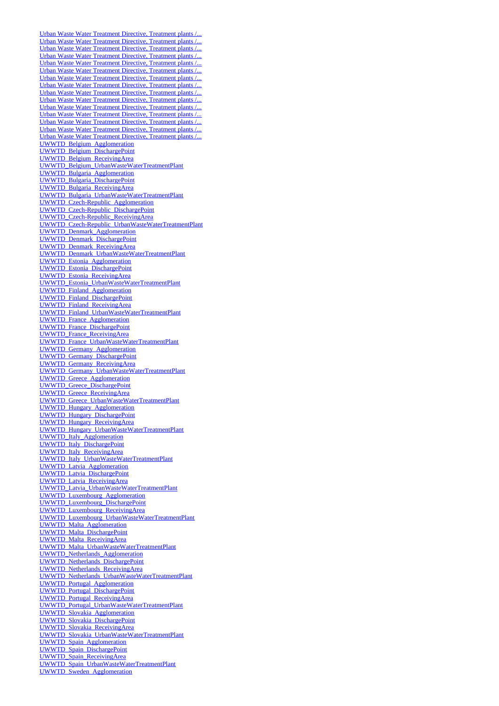[Urban Waste Water Treatment Directive, Treatment plants /...](http://uwwtd.oieau.fr/catalogue/srv/ows/md.viewer#/full_view/1e29f7d7285a7ab7926ca37b6925af1581dd6dff) [Urban Waste Water Treatment Directive, Treatment plants /...](http://uwwtd.oieau.fr/catalogue/srv/ows/md.viewer#/full_view/7a158501acd2f77874d07ce3bddfc7bdd1f2da14) [Urban Waste Water Treatment Directive, Treatment plants /...](http://uwwtd.oieau.fr/catalogue/srv/ows/md.viewer#/full_view/f00b305a9357471b9abc6ce5069ecfb943d14641) [Urban Waste Water Treatment Directive, Treatment plants /...](http://uwwtd.oieau.fr/catalogue/srv/ows/md.viewer#/full_view/0ad7834582c9bad1797e409e6830e9db7fe1f489) [Urban Waste Water Treatment Directive, Treatment plants /...](http://uwwtd.oieau.fr/catalogue/srv/ows/md.viewer#/full_view/1b56cc08d884d552d4943c13795cc07225bac40f) [Urban Waste Water Treatment Directive, Treatment plants /...](http://uwwtd.oieau.fr/catalogue/srv/ows/md.viewer#/full_view/a2919511bab9b5943128ec662daf50c58030df23) [Urban Waste Water Treatment Directive, Treatment plants /...](http://uwwtd.oieau.fr/catalogue/srv/ows/md.viewer#/full_view/edc96af8f42e1a4a7b0a2dc4a28b32ef42604783) [Urban Waste Water Treatment Directive, Treatment plants /...](http://uwwtd.oieau.fr/catalogue/srv/ows/md.viewer#/full_view/fb878c358115854197a77f9771463e8830711aee) [Urban Waste Water Treatment Directive, Treatment plants /...](http://uwwtd.oieau.fr/catalogue/srv/ows/md.viewer#/full_view/e87c65034364c6ae249362fe7f98fa2d44935761) [Urban Waste Water Treatment Directive, Treatment plants /...](http://uwwtd.oieau.fr/catalogue/srv/ows/md.viewer#/full_view/115497a12207bd3e92de76272c814a97e98e1e2d) [Urban Waste Water Treatment Directive, Treatment plants /...](http://uwwtd.oieau.fr/catalogue/srv/ows/md.viewer#/full_view/e7cf223294aa2298837fc5c56f139e7f4c4225ae) [Urban Waste Water Treatment Directive, Treatment plants /...](http://uwwtd.oieau.fr/catalogue/srv/ows/md.viewer#/full_view/589b48e79a0d5acc50ab3bf192274cbc1597fcd6) [Urban Waste Water Treatment Directive, Treatment plants /...](http://uwwtd.oieau.fr/catalogue/srv/ows/md.viewer#/full_view/37dc1746df3e3ecaef0836033b83b9c6a8064e6a) [Urban Waste Water Treatment Directive, Treatment plants /...](http://uwwtd.oieau.fr/catalogue/srv/ows/md.viewer#/full_view/63c2731399b403f54ac509930535df5f7f941079) [Urban Waste Water Treatment Directive, Treatment plants /...](http://uwwtd.oieau.fr/catalogue/srv/ows/md.viewer#/full_view/dae17f9b1098e920cc140e3ed6a18743c9031f20) [UWWTD\\_Belgium\\_Agglomeration](http://uwwtd.oieau.fr/catalogue/srv/ows/md.viewer#/full_view/0e37f19cde9cf212d37a6390da2ae0b60c9d4b0d) [UWWTD\\_Belgium\\_DischargePoint](http://uwwtd.oieau.fr/catalogue/srv/ows/md.viewer#/full_view/2e766046f8b34747819ad14c82e2c1ef1b6eb3d5) [UWWTD\\_Belgium\\_ReceivingArea](http://uwwtd.oieau.fr/catalogue/srv/ows/md.viewer#/full_view/6d9fe996ca04b560b8751f4a1745cc48b1a4b2c3) [UWWTD\\_Belgium\\_UrbanWasteWaterTreatmentPlant](http://uwwtd.oieau.fr/catalogue/srv/ows/md.viewer#/full_view/8f4befd00e7c1733b68706d04a2563ca13737d12) [UWWTD\\_Bulgaria\\_Agglomeration](http://uwwtd.oieau.fr/catalogue/srv/ows/md.viewer#/full_view/bd139988e958b0f46024df55c006039e2e778fe1) [UWWTD\\_Bulgaria\\_DischargePoint](http://uwwtd.oieau.fr/catalogue/srv/ows/md.viewer#/full_view/bcbf9579bd4ca47e65d5d47119013d5b49e53b68) [UWWTD\\_Bulgaria\\_ReceivingArea](http://uwwtd.oieau.fr/catalogue/srv/ows/md.viewer#/full_view/64246917c315a44f01140071ec788415c7586be7) [UWWTD\\_Bulgaria\\_UrbanWasteWaterTreatmentPlant](http://uwwtd.oieau.fr/catalogue/srv/ows/md.viewer#/full_view/c137b898a180622eba55969c9ee9d472758077fd) [UWWTD\\_Czech-Republic\\_Agglomeration](http://uwwtd.oieau.fr/catalogue/srv/ows/md.viewer#/full_view/7522b068ca64f119afb40b421ac69cb312043186) [UWWTD\\_Czech-Republic\\_DischargePoint](http://uwwtd.oieau.fr/catalogue/srv/ows/md.viewer#/full_view/c9e1924988fd8a3c85d34892353f8d11f8a32c03) [UWWTD\\_Czech-Republic\\_ReceivingArea](http://uwwtd.oieau.fr/catalogue/srv/ows/md.viewer#/full_view/2bd2cf0020f884ef9cd7deaadaea1073e3f5d5c9) [UWWTD\\_Czech-Republic\\_UrbanWasteWaterTreatmentPlant](http://uwwtd.oieau.fr/catalogue/srv/ows/md.viewer#/full_view/4c1db7ed9a2164b15291ef34f0b6f3d844216de1) [UWWTD\\_Denmark\\_Agglomeration](http://uwwtd.oieau.fr/catalogue/srv/ows/md.viewer#/full_view/754d780e7058e678c31b117bcff9befcf1a87a7e) [UWWTD\\_Denmark\\_DischargePoint](http://uwwtd.oieau.fr/catalogue/srv/ows/md.viewer#/full_view/f55088fe7624ffdf8c2f1223f77e2c1f8505be8a) [UWWTD\\_Denmark\\_ReceivingArea](http://uwwtd.oieau.fr/catalogue/srv/ows/md.viewer#/full_view/173bf03b748684872c6b05e2d0bb137246dbc2ca) [UWWTD\\_Denmark\\_UrbanWasteWaterTreatmentPlant](http://uwwtd.oieau.fr/catalogue/srv/ows/md.viewer#/full_view/7e6f5442ddea72aa9ebb39fef315aec84586f282) [UWWTD\\_Estonia\\_Agglomeration](http://uwwtd.oieau.fr/catalogue/srv/ows/md.viewer#/full_view/f4ad072f01e3d57b54e2a3810f87b3bc3ccedc89) [UWWTD\\_Estonia\\_DischargePoint](http://uwwtd.oieau.fr/catalogue/srv/ows/md.viewer#/full_view/f2c87c1d46a7b758f65d65ad79eff418807d5f42) [UWWTD\\_Estonia\\_ReceivingArea](http://uwwtd.oieau.fr/catalogue/srv/ows/md.viewer#/full_view/e5c73e8f4c2c73a65c78feb74b1f60e137bd1383) [UWWTD\\_Estonia\\_UrbanWasteWaterTreatmentPlant](http://uwwtd.oieau.fr/catalogue/srv/ows/md.viewer#/full_view/db0218f6ec9959ef7d4aec3646d5b467f91f0e9c) [UWWTD\\_Finland\\_Agglomeration](http://uwwtd.oieau.fr/catalogue/srv/ows/md.viewer#/full_view/243886bac5b74f19c12fe0822942e5d0c935c99f) [UWWTD\\_Finland\\_DischargePoint](http://uwwtd.oieau.fr/catalogue/srv/ows/md.viewer#/full_view/f47777a595965f393789aaec4d70c75fc11e2821) [UWWTD\\_Finland\\_ReceivingArea](http://uwwtd.oieau.fr/catalogue/srv/ows/md.viewer#/full_view/8a24aacdd65cfd42c031562db27ec5294b254758) [UWWTD\\_Finland\\_UrbanWasteWaterTreatmentPlant](http://uwwtd.oieau.fr/catalogue/srv/ows/md.viewer#/full_view/c4dd08ec9f26d876ad9e328759a5fbbf4afe16d3) [UWWTD\\_France\\_Agglomeration](http://uwwtd.oieau.fr/catalogue/srv/ows/md.viewer#/full_view/2dd0d7727a8ac93876fb6dea29b72a9b30fa30e8) [UWWTD\\_France\\_DischargePoint](http://uwwtd.oieau.fr/catalogue/srv/ows/md.viewer#/full_view/da072d6a64350f4670dd5b723c9fa479aceff822) [UWWTD\\_France\\_ReceivingArea](http://uwwtd.oieau.fr/catalogue/srv/ows/md.viewer#/full_view/f130608f184825034002bf02f662e6c0758eb521) [UWWTD\\_France\\_UrbanWasteWaterTreatmentPlant](http://uwwtd.oieau.fr/catalogue/srv/ows/md.viewer#/full_view/13aed7e28d2d2ce2bdb08e0515e792c01cf4bb03) [UWWTD\\_Germany\\_Agglomeration](http://uwwtd.oieau.fr/catalogue/srv/ows/md.viewer#/full_view/254948ea36a6b89451473d36a39dcec6a25298c1) [UWWTD\\_Germany\\_DischargePoint](http://uwwtd.oieau.fr/catalogue/srv/ows/md.viewer#/full_view/5859c1fddd4733fb6592f7b1dbe6928d04214275) [UWWTD\\_Germany\\_ReceivingArea](http://uwwtd.oieau.fr/catalogue/srv/ows/md.viewer#/full_view/6a8e6fd062b07ccb998c88493b126679b531cfb2) [UWWTD\\_Germany\\_UrbanWasteWaterTreatmentPlant](http://uwwtd.oieau.fr/catalogue/srv/ows/md.viewer#/full_view/54a730ba7545bf690f16bd794e9571dddf732c8c) [UWWTD\\_Greece\\_Agglomeration](http://uwwtd.oieau.fr/catalogue/srv/ows/md.viewer#/full_view/8119c2d6193885ffc944471c015818f0861bc7c2) [UWWTD\\_Greece\\_DischargePoint](http://uwwtd.oieau.fr/catalogue/srv/ows/md.viewer#/full_view/2d0c9669d0852185652dec4b83deae910893a6e6) [UWWTD\\_Greece\\_ReceivingArea](http://uwwtd.oieau.fr/catalogue/srv/ows/md.viewer#/full_view/636c2f7b3a140e412b3cbe8dcd7a4543ccacc3f8) [UWWTD\\_Greece\\_UrbanWasteWaterTreatmentPlant](http://uwwtd.oieau.fr/catalogue/srv/ows/md.viewer#/full_view/ba2d881ba32c6ac880d1254baaf345d9b4ad7437) [UWWTD\\_Hungary\\_Agglomeration](http://uwwtd.oieau.fr/catalogue/srv/ows/md.viewer#/full_view/4dcb6405960fadc93ed750f93ae989ca32087a18) [UWWTD\\_Hungary\\_DischargePoint](http://uwwtd.oieau.fr/catalogue/srv/ows/md.viewer#/full_view/fdac108238224523706fea3bdbee3f38d2acb8a4) [UWWTD\\_Hungary\\_ReceivingArea](http://uwwtd.oieau.fr/catalogue/srv/ows/md.viewer#/full_view/71ec3c69b04cc208f8367b9bbbddbb9bdd7c067c) [UWWTD\\_Hungary\\_UrbanWasteWaterTreatmentPlant](http://uwwtd.oieau.fr/catalogue/srv/ows/md.viewer#/full_view/cba92874790d359f167182fe049214bbbbef247f) [UWWTD\\_Italy\\_Agglomeration](http://uwwtd.oieau.fr/catalogue/srv/ows/md.viewer#/full_view/a31f57ca41adfaf0899dc4a5f51af35cfdc43cd2) [UWWTD\\_Italy\\_DischargePoint](http://uwwtd.oieau.fr/catalogue/srv/ows/md.viewer#/full_view/0a5bd2dc8496357335d9b67eb33b36c6c0d48f20) [UWWTD\\_Italy\\_ReceivingArea](http://uwwtd.oieau.fr/catalogue/srv/ows/md.viewer#/full_view/e796707f9d6b5862a8bba47b41a9926ea4a7aae5) [UWWTD\\_Italy\\_UrbanWasteWaterTreatmentPlant](http://uwwtd.oieau.fr/catalogue/srv/ows/md.viewer#/full_view/ffc514c459a65249101171000f083c237c97fbfa) [UWWTD\\_Latvia\\_Agglomeration](http://uwwtd.oieau.fr/catalogue/srv/ows/md.viewer#/full_view/2d0842dde217fbecce30601c268036d84da43c97) [UWWTD\\_Latvia\\_DischargePoint](http://uwwtd.oieau.fr/catalogue/srv/ows/md.viewer#/full_view/9e2d76e7d362b61c0e0808d5df9547cf19439b6b) [UWWTD\\_Latvia\\_ReceivingArea](http://uwwtd.oieau.fr/catalogue/srv/ows/md.viewer#/full_view/a965784aea3b831d93d2ed237eacbb3e9129ead3) [UWWTD\\_Latvia\\_UrbanWasteWaterTreatmentPlant](http://uwwtd.oieau.fr/catalogue/srv/ows/md.viewer#/full_view/3a4c6c103b848791a4fa6134e91644de2323ad81) [UWWTD\\_Luxembourg\\_Agglomeration](http://uwwtd.oieau.fr/catalogue/srv/ows/md.viewer#/full_view/f4f167fc811803b081fd24034c2303fbdd2c81de) [UWWTD\\_Luxembourg\\_DischargePoint](http://uwwtd.oieau.fr/catalogue/srv/ows/md.viewer#/full_view/2eeb4b5af194661d1a817900bcc620c2a75af45a) [UWWTD\\_Luxembourg\\_ReceivingArea](http://uwwtd.oieau.fr/catalogue/srv/ows/md.viewer#/full_view/42f2897302ee20b91976859d25ae8fdd81615571) [UWWTD\\_Luxembourg\\_UrbanWasteWaterTreatmentPlant](http://uwwtd.oieau.fr/catalogue/srv/ows/md.viewer#/full_view/99928a7bd188d8e5389afca34c07f0ad599cc61e) [UWWTD\\_Malta\\_Agglomeration](http://uwwtd.oieau.fr/catalogue/srv/ows/md.viewer#/full_view/5ee0d7bb297ca9d131886b6fd29c454733ea82d1) [UWWTD\\_Malta\\_DischargePoint](http://uwwtd.oieau.fr/catalogue/srv/ows/md.viewer#/full_view/a4e47e1befd9ed51b15d44091613fda409d9d032) [UWWTD\\_Malta\\_ReceivingArea](http://uwwtd.oieau.fr/catalogue/srv/ows/md.viewer#/full_view/4a613f0bd4f3abf4e9b86b8f72152f2dff18c883) [UWWTD\\_Malta\\_UrbanWasteWaterTreatmentPlant](http://uwwtd.oieau.fr/catalogue/srv/ows/md.viewer#/full_view/c4265482e8fe372347a245212c50efe6e1352813) [UWWTD\\_Netherlands\\_Agglomeration](http://uwwtd.oieau.fr/catalogue/srv/ows/md.viewer#/full_view/f1510e5c39c0f1b6b3c563db7069c16aa449b2e4) [UWWTD\\_Netherlands\\_DischargePoint](http://uwwtd.oieau.fr/catalogue/srv/ows/md.viewer#/full_view/7cd9102981b23438b13f3dafa590df040a78aea1) [UWWTD\\_Netherlands\\_ReceivingArea](http://uwwtd.oieau.fr/catalogue/srv/ows/md.viewer#/full_view/c1d8904cea9dfeb19ba5824be0ac2eb3da1f483a) [UWWTD\\_Netherlands\\_UrbanWasteWaterTreatmentPlant](http://uwwtd.oieau.fr/catalogue/srv/ows/md.viewer#/full_view/6abb7acf484c4dd4e44f11e3dcbb4a81a65ed438) [UWWTD\\_Portugal\\_Agglomeration](http://uwwtd.oieau.fr/catalogue/srv/ows/md.viewer#/full_view/dfd044651fdffa9b2fbab1bd408b2341754e1a13) [UWWTD\\_Portugal\\_DischargePoint](http://uwwtd.oieau.fr/catalogue/srv/ows/md.viewer#/full_view/4711898924197ef5100fb8ce5be516bf3fb6d51e) [UWWTD\\_Portugal\\_ReceivingArea](http://uwwtd.oieau.fr/catalogue/srv/ows/md.viewer#/full_view/2c01a3274669ed97e960655f78223598ac1c219e) [UWWTD\\_Portugal\\_UrbanWasteWaterTreatmentPlant](http://uwwtd.oieau.fr/catalogue/srv/ows/md.viewer#/full_view/c9c0bec3d88b09add15b50da605727b260799c2a) [UWWTD\\_Slovakia\\_Agglomeration](http://uwwtd.oieau.fr/catalogue/srv/ows/md.viewer#/full_view/ea890b491d4fc2ceac55f74ac5f1986fbc8c3b59) [UWWTD\\_Slovakia\\_DischargePoint](http://uwwtd.oieau.fr/catalogue/srv/ows/md.viewer#/full_view/fb5ee01d853aaac99acdc9cfc648b1cd88481124) [UWWTD\\_Slovakia\\_ReceivingArea](http://uwwtd.oieau.fr/catalogue/srv/ows/md.viewer#/full_view/8e97d33670060bf54cb724b82ac4cde9fc137cbd) [UWWTD\\_Slovakia\\_UrbanWasteWaterTreatmentPlant](http://uwwtd.oieau.fr/catalogue/srv/ows/md.viewer#/full_view/5c95cb90cbfe35f617bb3f1b4c47006fffd282a4) [UWWTD\\_Spain\\_Agglomeration](http://uwwtd.oieau.fr/catalogue/srv/ows/md.viewer#/full_view/5a76ed230213d1ca2b9052904e29d39b6779dba7) [UWWTD\\_Spain\\_DischargePoint](http://uwwtd.oieau.fr/catalogue/srv/ows/md.viewer#/full_view/edd768dae47fceb3bf77e1f3008754c3f262c2c3) [UWWTD\\_Spain\\_ReceivingArea](http://uwwtd.oieau.fr/catalogue/srv/ows/md.viewer#/full_view/9c8a14688ebd2597edd5965d6cdba731db24f3d2) [UWWTD\\_Spain\\_UrbanWasteWaterTreatmentPlant](http://uwwtd.oieau.fr/catalogue/srv/ows/md.viewer#/full_view/532369cd9c7dbb704356ffba35d7fa7d6cd6e985) [UWWTD\\_Sweden\\_Agglomeration](http://uwwtd.oieau.fr/catalogue/srv/ows/md.viewer#/full_view/7532404b32279986ebbb27205a221d8b4aba05f9)